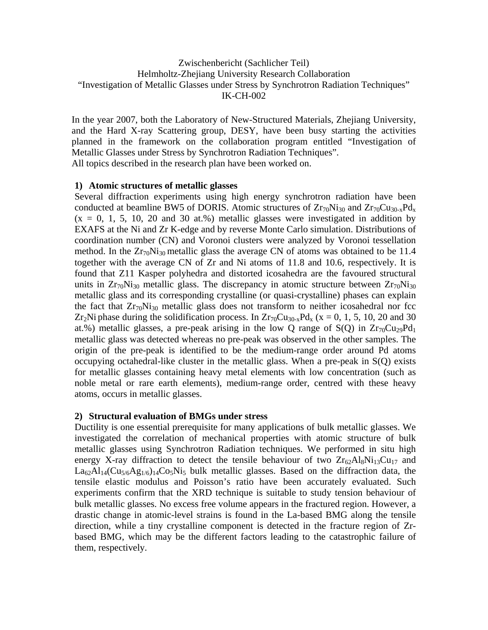# Zwischenbericht (Sachlicher Teil) Helmholtz-Zhejiang University Research Collaboration "Investigation of Metallic Glasses under Stress by Synchrotron Radiation Techniques" IK-CH-002

In the year 2007, both the Laboratory of New-Structured Materials, Zhejiang University, and the Hard X-ray Scattering group, DESY, have been busy starting the activities planned in the framework on the collaboration program entitled "Investigation of Metallic Glasses under Stress by Synchrotron Radiation Techniques". All topics described in the research plan have been worked on.

## **1) Atomic structures of metallic glasses**

Several diffraction experiments using high energy synchrotron radiation have been conducted at beamline BW5 of DORIS. Atomic structures of  $Zr_{70}Ni_{30}$  and  $Zr_{70}Cu_{30-x}Pd_{x}$  $(x = 0, 1, 5, 10, 20, 30, 30, 40)$  metallic glasses were investigated in addition by EXAFS at the Ni and Zr K-edge and by reverse Monte Carlo simulation. Distributions of coordination number (CN) and Voronoi clusters were analyzed by Voronoi tessellation method. In the  $Zr_{70}Ni_{30}$  metallic glass the average CN of atoms was obtained to be 11.4 together with the average CN of Zr and Ni atoms of 11.8 and 10.6, respectively. It is found that Z11 Kasper polyhedra and distorted icosahedra are the favoured structural units in  $Zr_{70}Ni_{30}$  metallic glass. The discrepancy in atomic structure between  $Zr_{70}Ni_{30}$ metallic glass and its corresponding crystalline (or quasi-crystalline) phases can explain the fact that  $Zr_{70}Ni_{30}$  metallic glass does not transform to neither icosahedral nor fcc Zr<sub>2</sub>Ni phase during the solidification process. In Zr<sub>70</sub>Cu<sub>30-x</sub>Pd<sub>x</sub> (x = 0, 1, 5, 10, 20 and 30 at.%) metallic glasses, a pre-peak arising in the low Q range of  $S(Q)$  in  $Zr_{70}Cu_{29}Pd_1$ metallic glass was detected whereas no pre-peak was observed in the other samples. The origin of the pre-peak is identified to be the medium-range order around Pd atoms occupying octahedral-like cluster in the metallic glass. When a pre-peak in S(Q) exists for metallic glasses containing heavy metal elements with low concentration (such as noble metal or rare earth elements), medium-range order, centred with these heavy atoms, occurs in metallic glasses.

## **2) Structural evaluation of BMGs under stress**

Ductility is one essential prerequisite for many applications of bulk metallic glasses. We investigated the correlation of mechanical properties with atomic structure of bulk metallic glasses using Synchrotron Radiation techniques. We performed in situ high energy X-ray diffraction to detect the tensile behaviour of two  $Zr_62Al_8Ni_{13}Cu_{17}$  and  $La<sub>62</sub>Al<sub>14</sub>(Cu<sub>5/6</sub>Ag<sub>1/6</sub>)<sub>14</sub>Co<sub>5</sub>Ni<sub>5</sub> bulk metallic glasses. Based on the diffraction data, the$ tensile elastic modulus and Poisson's ratio have been accurately evaluated. Such experiments confirm that the XRD technique is suitable to study tension behaviour of bulk metallic glasses. No excess free volume appears in the fractured region. However, a drastic change in atomic-level strains is found in the La-based BMG along the tensile direction, while a tiny crystalline component is detected in the fracture region of Zrbased BMG, which may be the different factors leading to the catastrophic failure of them, respectively.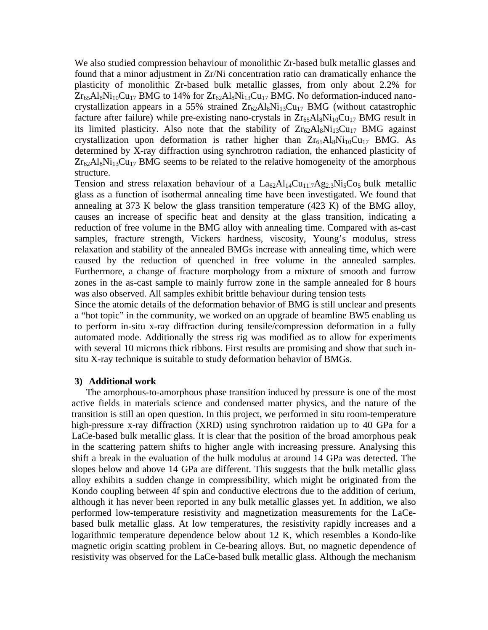We also studied compression behaviour of monolithic Zr-based bulk metallic glasses and found that a minor adjustment in Zr/Ni concentration ratio can dramatically enhance the plasticity of monolithic Zr-based bulk metallic glasses, from only about 2.2% for  $Zr_{65}Al_8Ni_{10}Cu_{17}$  BMG to 14% for  $Zr_{62}Al_8Ni_{13}Cu_{17}$  BMG. No deformation-induced nanocrystallization appears in a 55% strained  $Zr_{62}Al_8Ni_{13}Cu_{17}$  BMG (without catastrophic facture after failure) while pre-existing nano-crystals in  $Zr_{65}Al_8Ni_{10}Cu_{17}$  BMG result in its limited plasticity. Also note that the stability of  $Zr_{62}Al_8Ni_{13}Cu_{17}$  BMG against crystallization upon deformation is rather higher than  $Zr_{65}Al_8Ni_{10}Cu_{17}$  BMG. As determined by X-ray diffraction using synchrotron radiation, the enhanced plasticity of  $Zr_{62}Al_8Ni_{13}Cu_{17}$  BMG seems to be related to the relative homogeneity of the amorphous structure.

Tension and stress relaxation behaviour of a  $La_{62}Al_{14}Cu_{11.7}Ag_{2.3}Ni_5Co_5$  bulk metallic glass as a function of isothermal annealing time have been investigated. We found that annealing at 373 K below the glass transition temperature (423 K) of the BMG alloy, causes an increase of specific heat and density at the glass transition, indicating a reduction of free volume in the BMG alloy with annealing time. Compared with as-cast samples, fracture strength, Vickers hardness, viscosity, Young's modulus, stress relaxation and stability of the annealed BMGs increase with annealing time, which were caused by the reduction of quenched in free volume in the annealed samples. Furthermore, a change of fracture morphology from a mixture of smooth and furrow zones in the as-cast sample to mainly furrow zone in the sample annealed for 8 hours was also observed. All samples exhibit brittle behaviour during tension tests

Since the atomic details of the deformation behavior of BMG is still unclear and presents a "hot topic" in the community, we worked on an upgrade of beamline BW5 enabling us to perform in-situ x-ray diffraction during tensile/compression deformation in a fully automated mode. Additionally the stress rig was modified as to allow for experiments with several 10 microns thick ribbons. First results are promising and show that such insitu X-ray technique is suitable to study deformation behavior of BMGs.

#### **3) Additional work**

The amorphous-to-amorphous phase transition induced by pressure is one of the most active fields in materials science and condensed matter physics, and the nature of the transition is still an open question. In this project, we performed in situ room-temperature high-pressure x-ray diffraction (XRD) using synchrotron raidation up to 40 GPa for a LaCe-based bulk metallic glass. It is clear that the position of the broad amorphous peak in the scattering pattern shifts to higher angle with increasing pressure. Analysing this shift a break in the evaluation of the bulk modulus at around 14 GPa was detected. The slopes below and above 14 GPa are different. This suggests that the bulk metallic glass alloy exhibits a sudden change in compressibility, which might be originated from the Kondo coupling between 4f spin and conductive electrons due to the addition of cerium, although it has never been reported in any bulk metallic glasses yet. In addition, we also performed low-temperature resistivity and magnetization measurements for the LaCebased bulk metallic glass. At low temperatures, the resistivity rapidly increases and a logarithmic temperature dependence below about 12 K, which resembles a Kondo-like magnetic origin scatting problem in Ce-bearing alloys. But, no magnetic dependence of resistivity was observed for the LaCe-based bulk metallic glass. Although the mechanism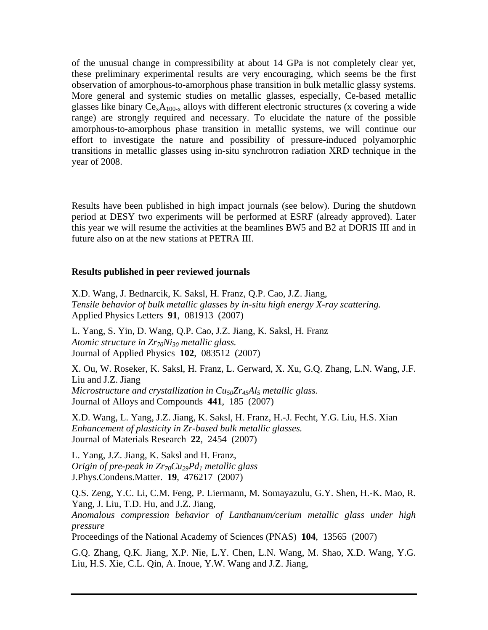of the unusual change in compressibility at about 14 GPa is not completely clear yet, these preliminary experimental results are very encouraging, which seems be the first observation of amorphous-to-amorphous phase transition in bulk metallic glassy systems. More general and systemic studies on metallic glasses, especially, Ce-based metallic glasses like binary  $Ce_xA_{100-x}$  alloys with different electronic structures (x covering a wide range) are strongly required and necessary. To elucidate the nature of the possible amorphous-to-amorphous phase transition in metallic systems, we will continue our effort to investigate the nature and possibility of pressure-induced polyamorphic transitions in metallic glasses using in-situ synchrotron radiation XRD technique in the year of 2008.

Results have been published in high impact journals (see below). During the shutdown period at DESY two experiments will be performed at ESRF (already approved). Later this year we will resume the activities at the beamlines BW5 and B2 at DORIS III and in future also on at the new stations at PETRA III.

#### **Results published in peer reviewed journals**

X.D. Wang, J. Bednarcik, K. Saksl, H. Franz, Q.P. Cao, J.Z. Jiang, *Tensile behavior of bulk metallic glasses by in-situ high energy X-ray scattering.* Applied Physics Letters **91**, 081913 (2007)

L. Yang, S. Yin, D. Wang, Q.P. Cao, J.Z. Jiang, K. Saksl, H. Franz *Atomic structure in Zr70Ni30 metallic glass.* Journal of Applied Physics **102**, 083512 (2007)

X. Ou, W. Roseker, K. Saksl, H. Franz, L. Gerward, X. Xu, G.Q. Zhang, L.N. Wang, J.F. Liu and J.Z. Jiang *Microstructure and crystallization in Cu50Zr45Al5 metallic glass.* Journal of Alloys and Compounds **441**, 185 (2007)

X.D. Wang, L. Yang, J.Z. Jiang, K. Saksl, H. Franz, H.-J. Fecht, Y.G. Liu, H.S. Xian *Enhancement of plasticity in Zr-based bulk metallic glasses.* Journal of Materials Research **22**, 2454 (2007)

L. Yang, J.Z. Jiang, K. Saksl and H. Franz, *Origin of pre-peak in Zr70Cu29Pd1 metallic glass*  J.Phys.Condens.Matter. **19**, 476217 (2007)

Q.S. Zeng, Y.C. Li, C.M. Feng, P. Liermann, M. Somayazulu, G.Y. Shen, H.-K. Mao, R. Yang, J. Liu, T.D. Hu, and J.Z. Jiang, *Anomalous compression behavior of Lanthanum/cerium metallic glass under high pressure*  Proceedings of the National Academy of Sciences (PNAS) **104**, 13565 (2007)

G.Q. Zhang, Q.K. Jiang, X.P. Nie, L.Y. Chen, L.N. Wang, M. Shao, X.D. Wang, Y.G. Liu, H.S. Xie, C.L. Qin, A. Inoue, Y.W. Wang and J.Z. Jiang,